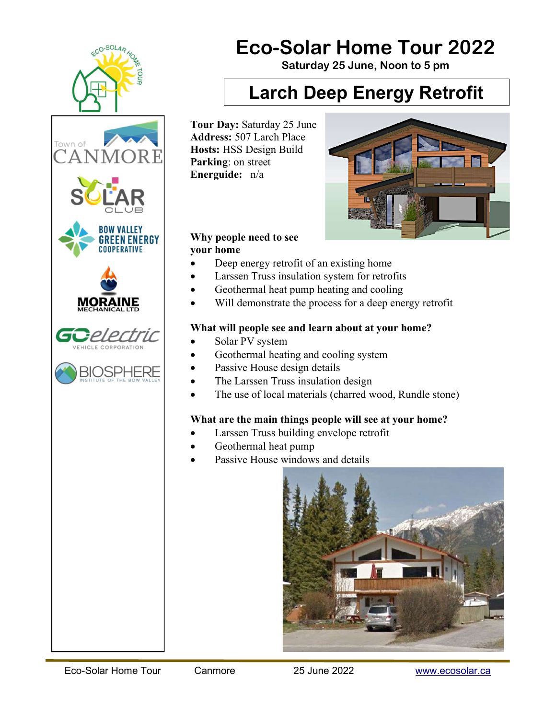

# Eco-Solar Home Tour 2022

Saturday 25 June, Noon to 5 pm

## Larch Deep Energy Retrofit

Tour Day: Saturday 25 June Address: 507 Larch Place Hosts: HSS Design Build Parking: on street Energuide: n/a



#### Why people need to see your home

- Deep energy retrofit of an existing home
- Larssen Truss insulation system for retrofits
- Geothermal heat pump heating and cooling
- Will demonstrate the process for a deep energy retrofit

## What will people see and learn about at your home?

- Solar PV system
- Geothermal heating and cooling system
- Passive House design details
- The Larssen Truss insulation design
- The use of local materials (charred wood, Rundle stone)

## What are the main things people will see at your home?

- Larssen Truss building envelope retrofit
- Geothermal heat pump
- Passive House windows and details